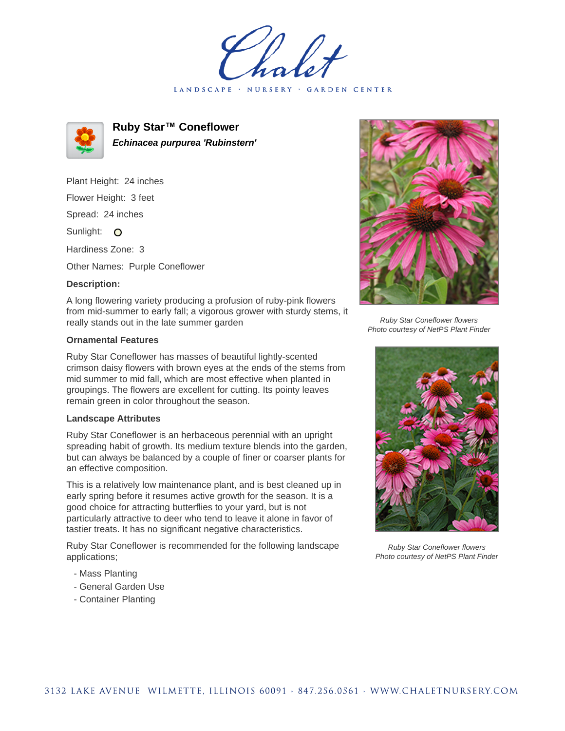LANDSCAPE · NURSERY · GARDEN CENTER



**Ruby Star™ Coneflower Echinacea purpurea 'Rubinstern'**

Plant Height: 24 inches Flower Height: 3 feet

Spread: 24 inches

Sunlight: O

Hardiness Zone: 3

Other Names: Purple Coneflower

## **Description:**

A long flowering variety producing a profusion of ruby-pink flowers from mid-summer to early fall; a vigorous grower with sturdy stems, it really stands out in the late summer garden

## **Ornamental Features**

Ruby Star Coneflower has masses of beautiful lightly-scented crimson daisy flowers with brown eyes at the ends of the stems from mid summer to mid fall, which are most effective when planted in groupings. The flowers are excellent for cutting. Its pointy leaves remain green in color throughout the season.

## **Landscape Attributes**

Ruby Star Coneflower is an herbaceous perennial with an upright spreading habit of growth. Its medium texture blends into the garden, but can always be balanced by a couple of finer or coarser plants for an effective composition.

This is a relatively low maintenance plant, and is best cleaned up in early spring before it resumes active growth for the season. It is a good choice for attracting butterflies to your yard, but is not particularly attractive to deer who tend to leave it alone in favor of tastier treats. It has no significant negative characteristics.

Ruby Star Coneflower is recommended for the following landscape applications;

- Mass Planting
- General Garden Use
- Container Planting



Ruby Star Coneflower flowers Photo courtesy of NetPS Plant Finder



Ruby Star Coneflower flowers Photo courtesy of NetPS Plant Finder